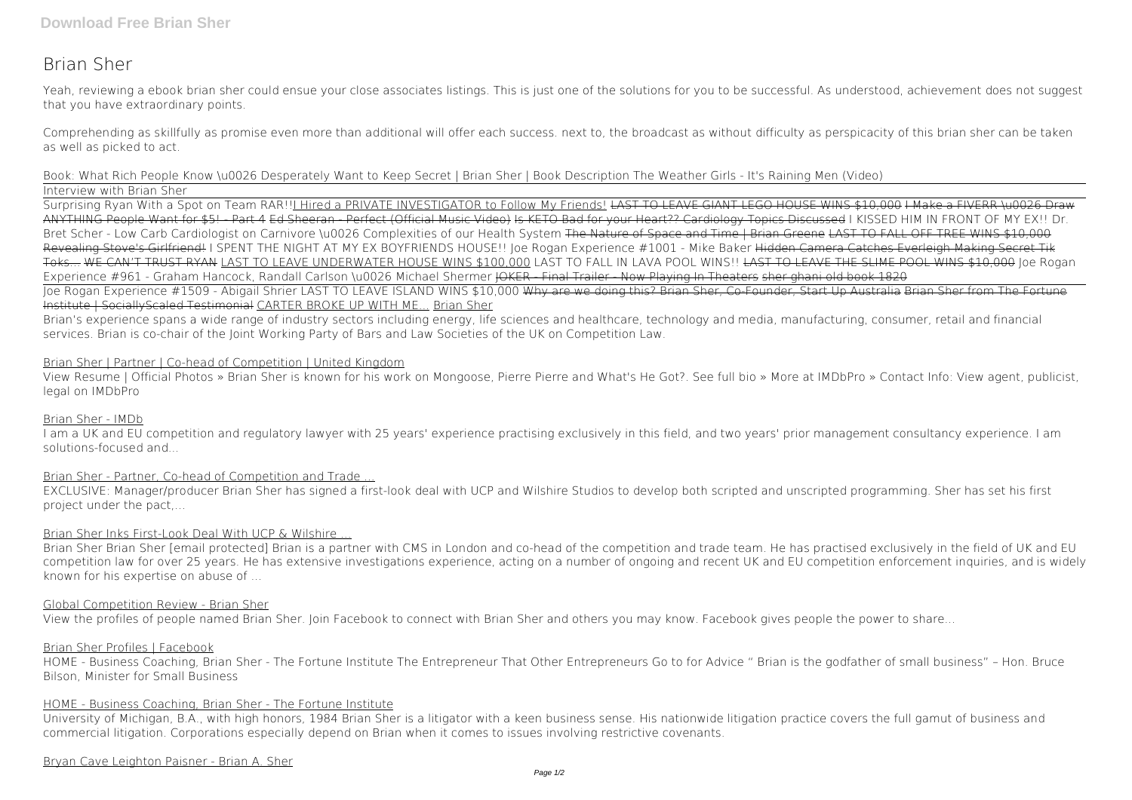# **Brian Sher**

Yeah, reviewing a ebook **brian sher** could ensue your close associates listings. This is just one of the solutions for you to be successful. As understood, achievement does not suggest that you have extraordinary points.

Comprehending as skillfully as promise even more than additional will offer each success. next to, the broadcast as without difficulty as perspicacity of this brian sher can be taken as well as picked to act.

*Book: What Rich People Know \u0026 Desperately Want to Keep Secret | Brian Sher | Book Description The Weather Girls - It's Raining Men (Video)* Interview with Brian Sher

Surprising Ryan With a Spot on Team RAR!!<u>I Hired a PRIVATE INVESTIGATO</u>R to Follow My Friends! LAST TO LEAVE GIANT LEGO HOUSE WINS \$10,000 I Make a FIVERR \u0026 Draw ANYTHING People Want for \$5! - Part 4 Ed Sheeran - Perfect (Official Music Video) Is KETO Bad for your Heart?? Cardiology Topics Discussed *I KISSED HIM IN FRONT OF MY EX!!* **Dr. Bret Scher - Low Carb Cardiologist on Carnivore \u0026 Complexities of our Health System** The Nature of Space and Time | Brian Greene LAST TO FALL OFF TREE WINS \$10,000 Revealing Stove's Girlfriend! I SPENT THE NIGHT AT MY EX BOYFRIENDS HOUSE!! Joe Rogan Experience #1001 - Mike Baker Hidden Camera Catches Everleigh Making Secret Tik Toks... WE CAN'T TRUST RYAN LAST TO LEAVE UNDERWATER HOUSE WINS \$100,000 *LAST TO FALL IN LAVA POOL WINS!!* LAST TO LEAVE THE SLIME POOL WINS \$10,000 *Joe Rogan Experience #961 - Graham Hancock, Randall Carlson \u0026 Michael Shermer* <del>JOKER - Final Trailer - Now Playing In Theaters sher ghani old book 1820</del> Joe Rogan Experience #1509 - Abigail Shrier LAST TO LEAVE ISLAND WINS \$10,000 Why are we doing this? Brian Sher, Co-Founder, Start Up Australia Brian Sher from The Fortune Institute | SociallyScaled Testimonial CARTER BROKE UP WITH ME... Brian Sher

Brian's experience spans a wide range of industry sectors including energy, life sciences and healthcare, technology and media, manufacturing, consumer, retail and financial services. Brian is co-chair of the Joint Working Party of Bars and Law Societies of the UK on Competition Law.

# Brian Sher | Partner | Co-head of Competition | United Kingdom

View Resume | Official Photos » Brian Sher is known for his work on Mongoose, Pierre Pierre and What's He Got?. See full bio » More at IMDbPro » Contact Info: View agent, publicist, legal on IMDbPro

# Brian Sher - IMDb

I am a UK and EU competition and regulatory lawyer with 25 years' experience practising exclusively in this field, and two years' prior management consultancy experience. I am solutions-focused and...

# Brian Sher - Partner, Co-head of Competition and Trade ...

EXCLUSIVE: Manager/producer Brian Sher has signed a first-look deal with UCP and Wilshire Studios to develop both scripted and unscripted programming. Sher has set his first project under the pact,...

# Brian Sher Inks First-Look Deal With UCP & Wilshire ...

Brian Sher Brian Sher [email protected] Brian is a partner with CMS in London and co-head of the competition and trade team. He has practised exclusively in the field of UK and EU competition law for over 25 years. He has extensive investigations experience, acting on a number of ongoing and recent UK and EU competition enforcement inquiries, and is widely known for his expertise on abuse of ...

# Global Competition Review - Brian Sher

View the profiles of people named Brian Sher. Join Facebook to connect with Brian Sher and others you may know. Facebook gives people the power to share...

## Brian Sher Profiles | Facebook

HOME - Business Coaching, Brian Sher - The Fortune Institute The Entrepreneur That Other Entrepreneurs Go to for Advice " Brian is the godfather of small business" – Hon. Bruce Bilson, Minister for Small Business

# HOME - Business Coaching, Brian Sher - The Fortune Institute

University of Michigan, B.A., with high honors, 1984 Brian Sher is a litigator with a keen business sense. His nationwide litigation practice covers the full gamut of business and commercial litigation. Corporations especially depend on Brian when it comes to issues involving restrictive covenants.

## Bryan Cave Leighton Paisner - Brian A. Sher